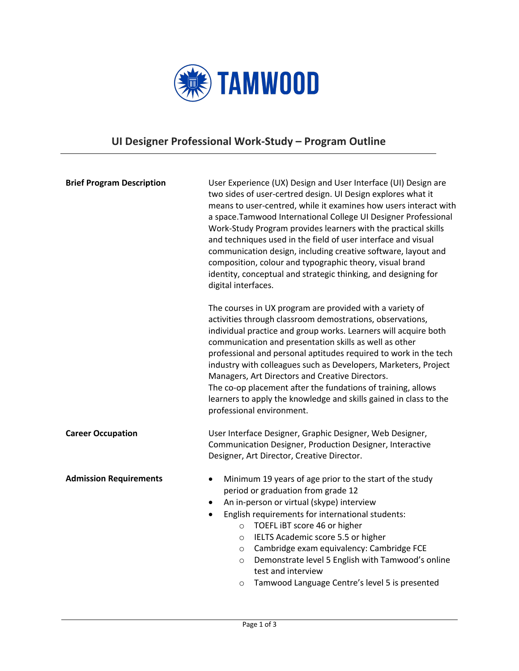

## **UI Designer Professional Work-Study – Program Outline**

| <b>Brief Program Description</b> | User Experience (UX) Design and User Interface (UI) Design are<br>two sides of user-certred design. UI Design explores what it<br>means to user-centred, while it examines how users interact with<br>a space. Tamwood International College UI Designer Professional<br>Work-Study Program provides learners with the practical skills<br>and techniques used in the field of user interface and visual<br>communication design, including creative software, layout and<br>composition, colour and typographic theory, visual brand<br>identity, conceptual and strategic thinking, and designing for<br>digital interfaces. |
|----------------------------------|--------------------------------------------------------------------------------------------------------------------------------------------------------------------------------------------------------------------------------------------------------------------------------------------------------------------------------------------------------------------------------------------------------------------------------------------------------------------------------------------------------------------------------------------------------------------------------------------------------------------------------|
|                                  | The courses in UX program are provided with a variety of<br>activities through classroom demostrations, observations,<br>individual practice and group works. Learners will acquire both<br>communication and presentation skills as well as other<br>professional and personal aptitudes required to work in the tech<br>industry with colleagues such as Developers, Marketers, Project<br>Managers, Art Directors and Creative Directors.<br>The co-op placement after the fundations of training, allows<br>learners to apply the knowledge and skills gained in class to the<br>professional environment.                 |
| <b>Career Occupation</b>         | User Interface Designer, Graphic Designer, Web Designer,<br>Communication Designer, Production Designer, Interactive<br>Designer, Art Director, Creative Director.                                                                                                                                                                                                                                                                                                                                                                                                                                                             |
| <b>Admission Requirements</b>    | Minimum 19 years of age prior to the start of the study<br>$\bullet$<br>period or graduation from grade 12<br>An in-person or virtual (skype) interview<br>$\bullet$<br>English requirements for international students:<br>$\bullet$<br>TOEFL IBT score 46 or higher<br>$\circ$<br>IELTS Academic score 5.5 or higher<br>$\circ$<br>Cambridge exam equivalency: Cambridge FCE<br>$\circ$<br>Demonstrate level 5 English with Tamwood's online<br>$\circ$<br>test and interview<br>Tamwood Language Centre's level 5 is presented<br>$\circ$                                                                                   |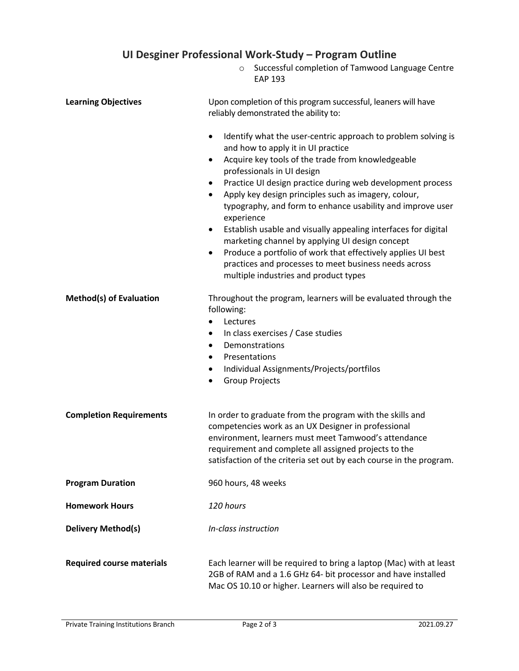## **UI Desginer Professional Work-Study – Program Outline**

o Successful completion of Tamwood Language Centre EAP 193

| <b>Learning Objectives</b>       | Upon completion of this program successful, leaners will have<br>reliably demonstrated the ability to:                                                                                                                                                                                                   |
|----------------------------------|----------------------------------------------------------------------------------------------------------------------------------------------------------------------------------------------------------------------------------------------------------------------------------------------------------|
|                                  | Identify what the user-centric approach to problem solving is<br>$\bullet$<br>and how to apply it in UI practice<br>Acquire key tools of the trade from knowledgeable<br>$\bullet$<br>professionals in UI design                                                                                         |
|                                  | Practice UI design practice during web development process<br>Apply key design principles such as imagery, colour,<br>٠<br>typography, and form to enhance usability and improve user<br>experience                                                                                                      |
|                                  | Establish usable and visually appealing interfaces for digital<br>٠<br>marketing channel by applying UI design concept<br>Produce a portfolio of work that effectively applies UI best<br>$\bullet$<br>practices and processes to meet business needs across<br>multiple industries and product types    |
| <b>Method(s) of Evaluation</b>   | Throughout the program, learners will be evaluated through the<br>following:<br>Lectures                                                                                                                                                                                                                 |
|                                  | In class exercises / Case studies<br>$\bullet$<br>Demonstrations<br>$\bullet$                                                                                                                                                                                                                            |
|                                  | Presentations<br>$\bullet$                                                                                                                                                                                                                                                                               |
|                                  | Individual Assignments/Projects/portfilos<br>٠<br><b>Group Projects</b><br>$\bullet$                                                                                                                                                                                                                     |
| <b>Completion Requirements</b>   | In order to graduate from the program with the skills and<br>competencies work as an UX Designer in professional<br>environment, learners must meet Tamwood's attendance<br>requirement and complete all assigned projects to the<br>satisfaction of the criteria set out by each course in the program. |
| <b>Program Duration</b>          | 960 hours, 48 weeks                                                                                                                                                                                                                                                                                      |
| <b>Homework Hours</b>            | 120 hours                                                                                                                                                                                                                                                                                                |
| <b>Delivery Method(s)</b>        | In-class instruction                                                                                                                                                                                                                                                                                     |
| <b>Required course materials</b> | Each learner will be required to bring a laptop (Mac) with at least<br>2GB of RAM and a 1.6 GHz 64- bit processor and have installed<br>Mac OS 10.10 or higher. Learners will also be required to                                                                                                        |